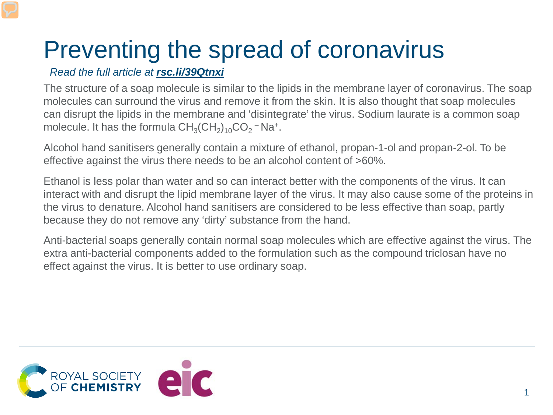## Preventing the spread of coronavirus

*Read the full article at rsc.li/39Qtnxi*

The structure of a soap molecule is similar to the lipids in the membrane layer of coronavirus. The soap molecules can surround the virus and remove it from the skin. It is also thought that soap molecules can disrupt the lipids in the membrane and 'disintegrate' the virus. Sodium laurate is a common soap molecule. It has the formula  $CH<sub>3</sub>(CH<sub>2</sub>)<sub>10</sub>CO<sub>2</sub> – Na<sup>+</sup>.$ 

Alcohol hand sanitisers generally contain a mixture of ethanol, propan-1-ol and propan-2-ol. To be effective against the virus there needs to be an alcohol content of >60%.

Ethanol is less polar than water and so can interact better with the components of the virus. It can interact with and disrupt the lipid membrane layer of the virus. It may also cause some of the proteins in the virus to denature. Alcohol hand sanitisers are considered to be less effective than soap, partly because they do not remove any 'dirty' substance from the hand.

Anti-bacterial soaps generally contain normal soap molecules which are effective against the virus. The extra anti-bacterial components added to the formulation such as the compound triclosan have no effect against the virus. It is better to use ordinary soap.

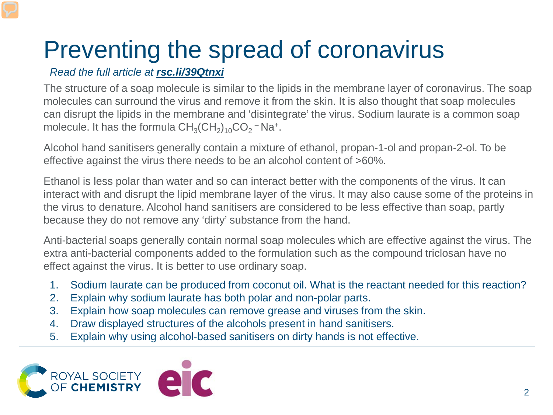## Preventing the spread of coronavirus

*Read the full article at rsc.li/39Qtnxi*

The structure of a soap molecule is similar to the lipids in the membrane layer of coronavirus. The soap molecules can surround the virus and remove it from the skin. It is also thought that soap molecules can disrupt the lipids in the membrane and 'disintegrate' the virus. Sodium laurate is a common soap molecule. It has the formula  $CH<sub>3</sub>(CH<sub>2</sub>)<sub>10</sub>CO<sub>2</sub> – Na<sup>+</sup>.$ 

Alcohol hand sanitisers generally contain a mixture of ethanol, propan-1-ol and propan-2-ol. To be effective against the virus there needs to be an alcohol content of >60%.

Ethanol is less polar than water and so can interact better with the components of the virus. It can interact with and disrupt the lipid membrane layer of the virus. It may also cause some of the proteins in the virus to denature. Alcohol hand sanitisers are considered to be less effective than soap, partly because they do not remove any 'dirty' substance from the hand.

Anti-bacterial soaps generally contain normal soap molecules which are effective against the virus. The extra anti-bacterial components added to the formulation such as the compound triclosan have no effect against the virus. It is better to use ordinary soap.

- 1. Sodium laurate can be produced from coconut oil. What is the reactant needed for this reaction?
- 2. Explain why sodium laurate has both polar and non-polar parts.
- 3. Explain how soap molecules can remove grease and viruses from the skin.
- 4. Draw displayed structures of the alcohols present in hand sanitisers.
- 5. Explain why using alcohol-based sanitisers on dirty hands is not effective.